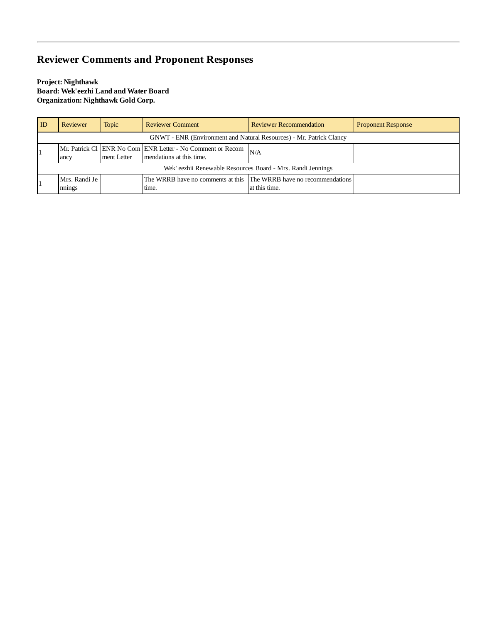## **Reviewer Comments and Proponent Responses**

**Project: Nighthawk Board: Wek'eezhi Land and Water Board Organization: Nighthawk Gold Corp.**

| ID                                                                  | Reviewer                | <b>Topic</b> | <b>Reviewer Comment</b>                                                                | <b>Reviewer Recommendation</b>                                                      | <b>Proponent Response</b> |
|---------------------------------------------------------------------|-------------------------|--------------|----------------------------------------------------------------------------------------|-------------------------------------------------------------------------------------|---------------------------|
| GNWT - ENR (Environment and Natural Resources) - Mr. Patrick Clancy |                         |              |                                                                                        |                                                                                     |                           |
|                                                                     | ancy                    | ment Letter  | Mr. Patrick Cl ENR No Com ENR Letter - No Comment or Recom<br>mendations at this time. | N/A                                                                                 |                           |
| Wek' eezhii Renewable Resources Board - Mrs. Randi Jennings         |                         |              |                                                                                        |                                                                                     |                           |
|                                                                     | Mrs. Randi Je<br>nnings |              | time.                                                                                  | The WRRB have no comments at this The WRRB have no recommendations<br>at this time. |                           |